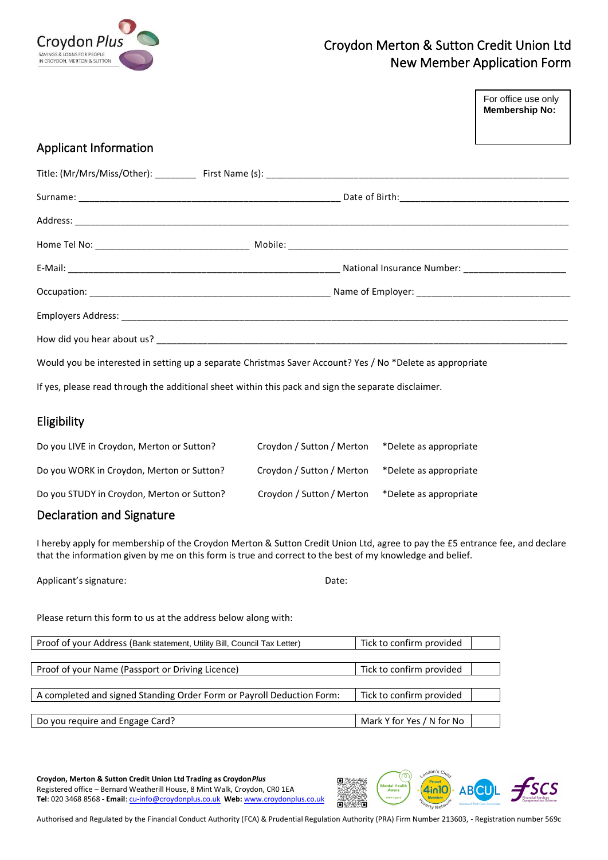

# Croydon Merton & Sutton Credit Union Ltd New Member Application Form

|                                                                                                     |                                                                                                           | For office use only<br><b>Membership No:</b> |
|-----------------------------------------------------------------------------------------------------|-----------------------------------------------------------------------------------------------------------|----------------------------------------------|
|                                                                                                     |                                                                                                           |                                              |
| <b>Applicant Information</b>                                                                        |                                                                                                           |                                              |
|                                                                                                     |                                                                                                           |                                              |
|                                                                                                     |                                                                                                           |                                              |
|                                                                                                     |                                                                                                           |                                              |
|                                                                                                     |                                                                                                           |                                              |
|                                                                                                     |                                                                                                           |                                              |
|                                                                                                     |                                                                                                           |                                              |
|                                                                                                     |                                                                                                           |                                              |
|                                                                                                     |                                                                                                           |                                              |
|                                                                                                     | Would you be interested in setting up a separate Christmas Saver Account? Yes / No *Delete as appropriate |                                              |
| If yes, please read through the additional sheet within this pack and sign the separate disclaimer. |                                                                                                           |                                              |

## Eligibility

| Do you LIVE in Croydon, Merton or Sutton?  | Croydon / Sutton / Merton | *Delete as appropriate |
|--------------------------------------------|---------------------------|------------------------|
| Do you WORK in Croydon, Merton or Sutton?  | Croydon / Sutton / Merton | *Delete as appropriate |
| Do you STUDY in Croydon, Merton or Sutton? | Croydon / Sutton / Merton | *Delete as appropriate |
|                                            |                           |                        |

### Declaration and Signature

I hereby apply for membership of the Croydon Merton & Sutton Credit Union Ltd, agree to pay the £5 entrance fee, and declare that the information given by me on this form is true and correct to the best of my knowledge and belief.

Applicant's signature: The Contraction of the Contraction of the Date:

Please return this form to us at the address below along with:

| Proof of your Address (Bank statement, Utility Bill, Council Tax Letter) | Tick to confirm provided  |
|--------------------------------------------------------------------------|---------------------------|
|                                                                          |                           |
| Proof of your Name (Passport or Driving Licence)                         | Tick to confirm provided  |
|                                                                          |                           |
| A completed and signed Standing Order Form or Payroll Deduction Form:    | Tick to confirm provided  |
|                                                                          |                           |
| Do you require and Engage Card?                                          | Mark Y for Yes / N for No |

**Croydon, Merton & Sutton Credit Union Ltd Trading as Croydon***Plus* Registered office – Bernard Weatherill House, 8 Mint Walk, Croydon, CR0 1EA **Tel**: 020 3468 8568 - **Email**[: cu-info@croydonplus.co.uk](mailto:cu-info@croydonplus.co.uk) **Web:** [www.croydonplus.co.uk](http://www.croydonplus.co.uk/)

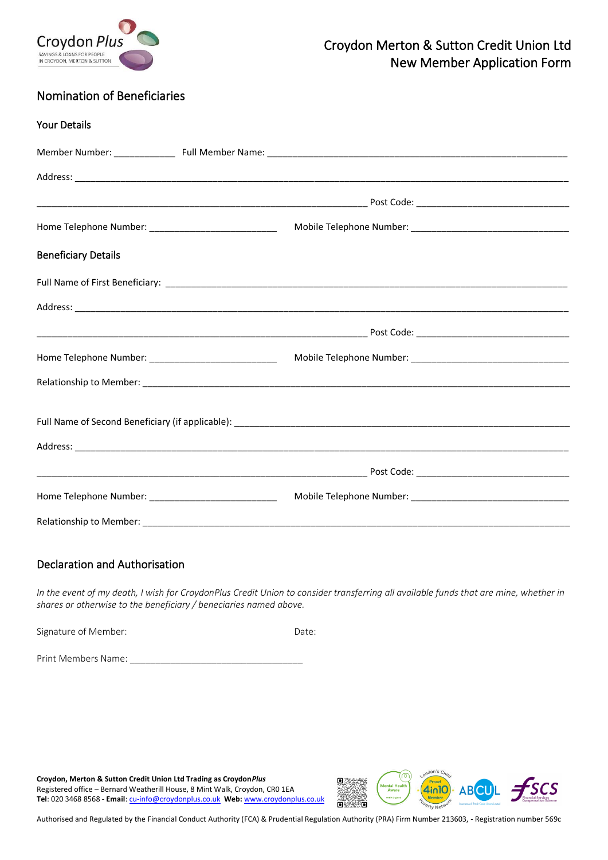

## Nomination of Beneficiaries

| <b>Your Details</b>                                    |  |
|--------------------------------------------------------|--|
|                                                        |  |
|                                                        |  |
|                                                        |  |
|                                                        |  |
| <b>Beneficiary Details</b>                             |  |
|                                                        |  |
|                                                        |  |
|                                                        |  |
|                                                        |  |
|                                                        |  |
|                                                        |  |
|                                                        |  |
|                                                        |  |
| Home Telephone Number: _______________________________ |  |
|                                                        |  |

### Declaration and Authorisation

*In the event of my death, I wish for CroydonPlus Credit Union to consider transferring all available funds that are mine, whether in shares or otherwise to the beneficiary / beneciaries named above.* 

Signature of Member:  $Date:$ 

Print Members Name:

**Croydon, Merton & Sutton Credit Union Ltd Trading as Croydon***Plus* Registered office – Bernard Weatherill House, 8 Mint Walk, Croydon, CR0 1EA **Tel**: 020 3468 8568 - **Email**[: cu-info@croydonplus.co.uk](mailto:cu-info@croydonplus.co.uk) **Web:** [www.croydonplus.co.uk](http://www.croydonplus.co.uk/)

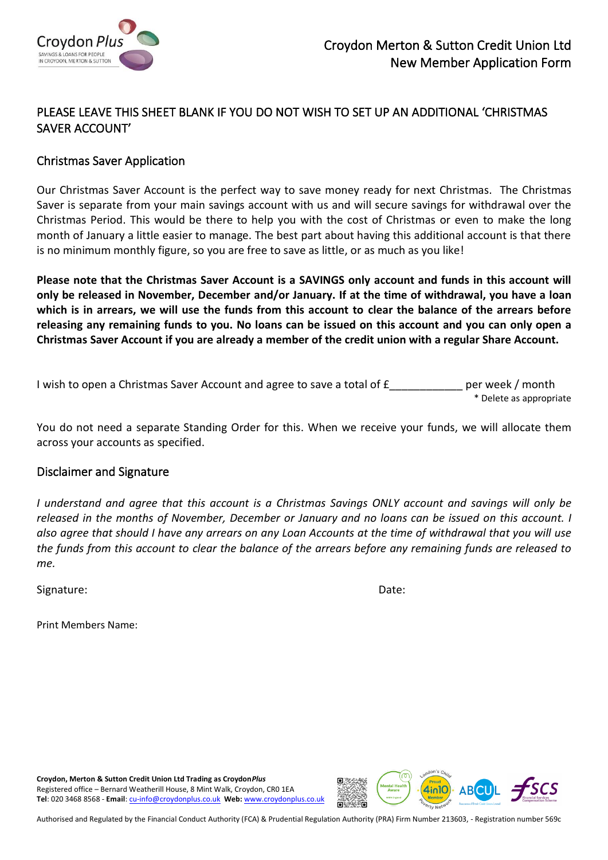

## PLEASE LEAVE THIS SHEET BLANK IF YOU DO NOT WISH TO SET UP AN ADDITIONAL 'CHRISTMAS SAVER ACCOUNT'

### Christmas Saver Application

Our Christmas Saver Account is the perfect way to save money ready for next Christmas. The Christmas Saver is separate from your main savings account with us and will secure savings for withdrawal over the Christmas Period. This would be there to help you with the cost of Christmas or even to make the long month of January a little easier to manage. The best part about having this additional account is that there is no minimum monthly figure, so you are free to save as little, or as much as you like!

**Please note that the Christmas Saver Account is a SAVINGS only account and funds in this account will only be released in November, December and/or January. If at the time of withdrawal, you have a loan which is in arrears, we will use the funds from this account to clear the balance of the arrears before releasing any remaining funds to you. No loans can be issued on this account and you can only open a Christmas Saver Account if you are already a member of the credit union with a regular Share Account.**

I wish to open a Christmas Saver Account and agree to save a total of  $f$  per week / month \* Delete as appropriate

You do not need a separate Standing Order for this. When we receive your funds, we will allocate them across your accounts as specified.

### Disclaimer and Signature

*I understand and agree that this account is a Christmas Savings ONLY account and savings will only be released in the months of November, December or January and no loans can be issued on this account. I also agree that should I have any arrears on any Loan Accounts at the time of withdrawal that you will use the funds from this account to clear the balance of the arrears before any remaining funds are released to me.* 

Signature: **Date:** Date: **Date:** Date: **Date: Date: Date: Date: Date: Date: Date: Date: Date: Date: Date: Date: Date: Date: Date: Date: Date: Date: Date: Date: Date: Date: Date:** 

Print Members Name:

**Croydon, Merton & Sutton Credit Union Ltd Trading as Croydon***Plus* Registered office – Bernard Weatherill House, 8 Mint Walk, Croydon, CR0 1EA **Tel**: 020 3468 8568 - **Email**[: cu-info@croydonplus.co.uk](mailto:cu-info@croydonplus.co.uk) **Web:** [www.croydonplus.co.uk](http://www.croydonplus.co.uk/)

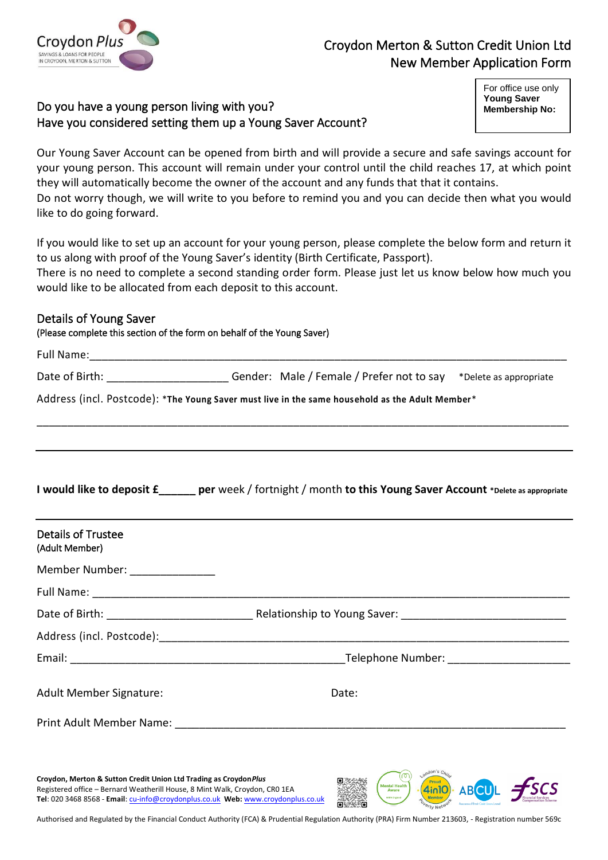

# Croydon Merton & Sutton Credit Union Ltd New Member Application Form

## Do you have a young person living with you? Have you considered setting them up a Young Saver Account?

For office use only **Young Saver Membership No:** 

Our Young Saver Account can be opened from birth and will provide a secure and safe savings account for your young person. This account will remain under your control until the child reaches 17, at which point they will automatically become the owner of the account and any funds that that it contains. Do not worry though, we will write to you before to remind you and you can decide then what you would like to do going forward.

If you would like to set up an account for your young person, please complete the below form and return it to us along with proof of the Young Saver's identity (Birth Certificate, Passport).

There is no need to complete a second standing order form. Please just let us know below how much you would like to be allocated from each deposit to this account.

### Details of Young Saver

(Please complete this section of the form on behalf of the Young Saver)

|                                             | Date of Birth: ___________________________Gender: Male / Female / Prefer not to say *Delete as appropriate      |
|---------------------------------------------|-----------------------------------------------------------------------------------------------------------------|
|                                             | Address (incl. Postcode): *The Young Saver must live in the same household as the Adult Member*                 |
|                                             |                                                                                                                 |
|                                             | I would like to deposit £______ per week / fortnight / month to this Young Saver Account *Delete as appropriate |
| <b>Details of Trustee</b><br>(Adult Member) |                                                                                                                 |
| Member Number: _______________              |                                                                                                                 |
|                                             |                                                                                                                 |
|                                             |                                                                                                                 |
|                                             | Address (incl. Postcode): 2008 2010 2020 2021 2021 2022 2023 2024 2022 2023 2024 2022 2023 2024 2022 2023 2024  |

| <b>Adult Member Signature:</b> | Date: |
|--------------------------------|-------|

Print Adult Member Name:

**Croydon, Merton & Sutton Credit Union Ltd Trading as Croydon***Plus* Registered office – Bernard Weatherill House, 8 Mint Walk, Croydon, CR0 1EA **Tel**: 020 3468 8568 - **Email**[: cu-info@croydonplus.co.uk](mailto:cu-info@croydonplus.co.uk) **Web:** [www.croydonplus.co.uk](http://www.croydonplus.co.uk/)



Authorised and Regulated by the Financial Conduct Authority (FCA) & Prudential Regulation Authority (PRA) Firm Number 213603, - Registration number 569c

Email: Email: Email: Email: Email: Email: Email: Email: Email: Email: Email: Email: Email: Email: Email: Email: Email: Email: Email: Email: Email: Email: Email: Email: Email: Email: Email: Email: Email: Email: Email: Email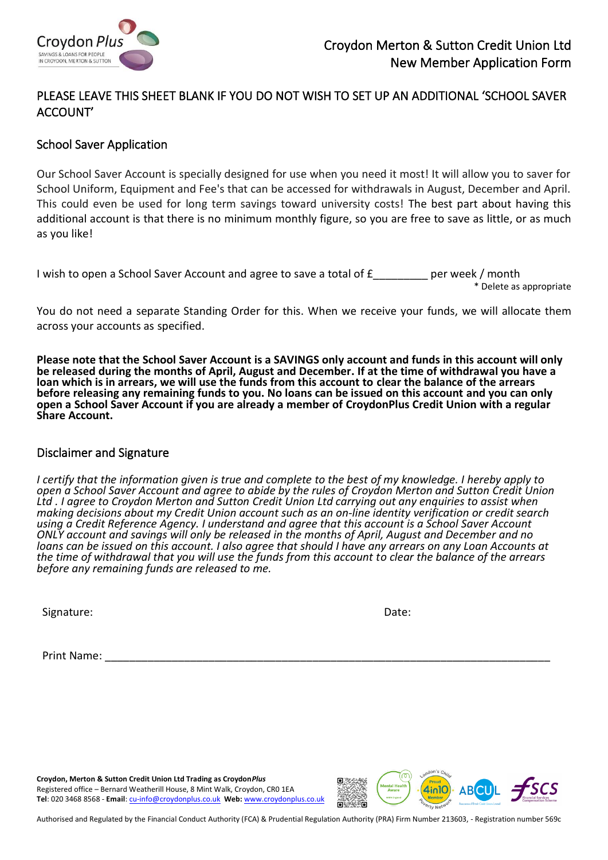

## PLEASE LEAVE THIS SHEET BLANK IF YOU DO NOT WISH TO SET UP AN ADDITIONAL 'SCHOOL SAVER ACCOUNT'

### School Saver Application

Our School Saver Account is specially designed for use when you need it most! It will allow you to saver for School Uniform, Equipment and Fee's that can be accessed for withdrawals in August, December and April. This could even be used for long term savings toward university costs! The best part about having this additional account is that there is no minimum monthly figure, so you are free to save as little, or as much as you like!

| per week / month<br>I wish to open a School Saver Account and agree to save a total of £ |  |
|------------------------------------------------------------------------------------------|--|
|------------------------------------------------------------------------------------------|--|

\* Delete as appropriate

You do not need a separate Standing Order for this. When we receive your funds, we will allocate them across your accounts as specified.

**Please note that the School Saver Account is a SAVINGS only account and funds in this account will only be released during the months of April, August and December. If at the time of withdrawal you have a loan which is in arrears, we will use the funds from this account to clear the balance of the arrears before releasing any remaining funds to you. No loans can be issued on this account and you can only open a School Saver Account if you are already a member of CroydonPlus Credit Union with a regular Share Account.**

### Disclaimer and Signature

*I certify that the information given is true and complete to the best of my knowledge. I hereby apply to open a School Saver Account and agree to abide by the rules of Croydon Merton and Sutton Credit Union Ltd . I agree to Croydon Merton and Sutton Credit Union Ltd carrying out any enquiries to assist when making decisions about my Credit Union account such as an on-line identity verification or credit search using a Credit Reference Agency. I understand and agree that this account is a School Saver Account ONLY account and savings will only be released in the months of April, August and December and no loans can be issued on this account. I also agree that should I have any arrears on any Loan Accounts at the time of withdrawal that you will use the funds from this account to clear the balance of the arrears before any remaining funds are released to me.* 

Signature: Note: Note: Note: Note: Note: Note: Note: Note: Note: Note: Note: Note: Note: Note: Note: Note: Note: Note: Note: Note: Note: Note: Note: Note: Note: Note: Note: Note: Note: Note: Note: Note: Note: Note: Note: N

Print Name:

**Croydon, Merton & Sutton Credit Union Ltd Trading as Croydon***Plus* Registered office – Bernard Weatherill House, 8 Mint Walk, Croydon, CR0 1EA **Tel**: 020 3468 8568 - **Email**[: cu-info@croydonplus.co.uk](mailto:cu-info@croydonplus.co.uk) **Web:** [www.croydonplus.co.uk](http://www.croydonplus.co.uk/)